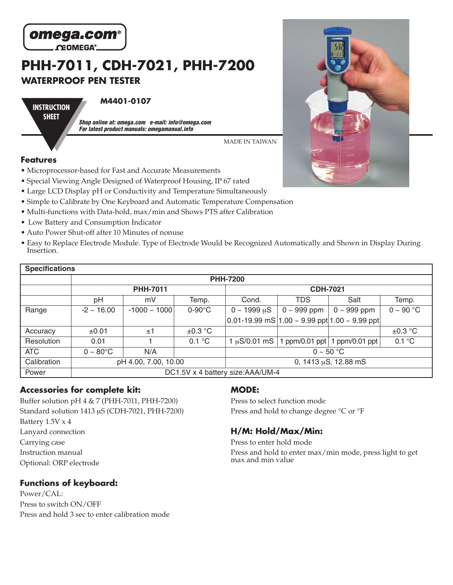

# **PHH-7011, CDH-7021, PHH-7200 WATERPROOF PEN TESTER**

**INSTRUCTION SHEET**

#### **M4401-0107**

**Shop online at: omega.com e-mail: info@omega.com For latest product manuals: omegamanual.info**

MADE IN TAIWAN

### **Features**

- Microprocessor-based for Fast and Accurate Measurements
- Special Viewing Angle Designed of Waterproof Housing, IP 67 rated
- Large LCD Display pH or Conductivity and Temperature Simultaneously
- Simple to Calibrate by One Keyboard and Automatic Temperature Compensation
- Multi-functions with Data-hold, max/min and Shows PTS after Calibration
- Low Battery and Consumption Indicator
- Auto Power Shut-off after 10 Minutes of nonuse
- Easy to Replace Electrode Module. Type of Electrode Would be Recognized Automatically and Shown in Display During Insertion.

| <b>Specifications</b> |                                   |                   |                           |                                                                   |                  |                               |                |  |  |
|-----------------------|-----------------------------------|-------------------|---------------------------|-------------------------------------------------------------------|------------------|-------------------------------|----------------|--|--|
|                       | <b>PHH-7200</b>                   |                   |                           |                                                                   |                  |                               |                |  |  |
|                       | <b>PHH-7011</b>                   |                   |                           | <b>CDH-7021</b>                                                   |                  |                               |                |  |  |
|                       | рH                                | mV                | Temp.                     | Cond.                                                             | <b>TDS</b>       | Salt                          | Temp.          |  |  |
| Range                 | $-2 \sim 16.00$                   | $-1000 \sim 1000$ | $0-90^\circ C$            | $0 \sim 1999 \mu S$                                               | $0 \sim 999$ ppm | $0 \sim 999$ ppm              | $0 \sim 90$ °C |  |  |
|                       |                                   |                   |                           | $ 0.01$ -19.99 mS $ 1.00 \sim 9.99$ ppt $ 1.00 \sim 9.99$ ppt $ $ |                  |                               |                |  |  |
| Accuracy              | $\pm 0.01$                        | ±1                | $\pm 0.3$ °C              |                                                                   |                  |                               | $\pm 0.3$ °C   |  |  |
| Resolution            | 0.01                              |                   | 0.1 °C                    | $1 \mu S / 0.01 \text{ mS}$                                       |                  | ppm/0.01 ppt   1 ppm/0.01 ppt | 0.1 °C         |  |  |
| <b>ATC</b>            | $0 \sim 80^{\circ}$ C             | N/A               |                           | $0 \sim 50$ °C                                                    |                  |                               |                |  |  |
| Calibration           | pH 4.00, 7.00, 10.00              |                   | 0, 1413 $\mu$ S, 12.88 mS |                                                                   |                  |                               |                |  |  |
| Power                 | DC1.5V x 4 battery size: AAA/UM-4 |                   |                           |                                                                   |                  |                               |                |  |  |

## **Accessories for complete kit:**

Buffer solution pH 4 & 7 (PHH-7011, PHH-7200) Standard solution 1413 µS (CDH-7021, PHH-7200) Battery 1.5V x 4 Lanyard connection Carrying case Instruction manual Optional: ORP electrode

## **Functions of keyboard:**

Power/CAL: Press to switch ON/OFF Press and hold 3 sec to enter calibration mode

## **MODE:**

Press to select function mode Press and hold to change degree °C or °F

## **H/M: Hold/Max/Min:**

Press to enter hold mode

Press and hold to enter max/min mode, press light to get max and min value